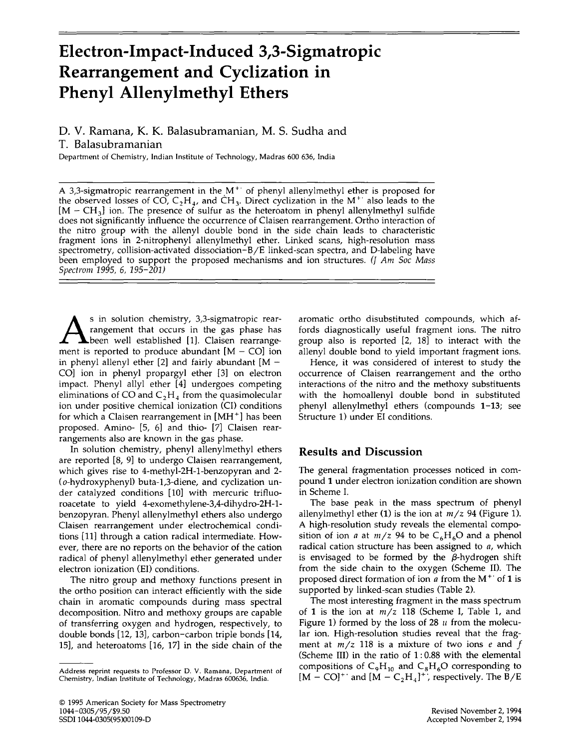# **Electron-Impact-Induced 3,3-Sigmatropic Rearrangement and Cyclization in Phenyl Allenylmethyl Ethers**

## D. V. Ramana, K. K. Balasubramanian, M. S. Sudha and T. Balasubramanian

Department of Chemistry, Indian Institute of Technology, Madras 600 636, India

A 3,3-sigmatropic rearrangement in the  $M^+$  of phenyl allenylmethyl ether is proposed for the observed losses of CO,  $C_2H_4$ , and CH<sub>3</sub>. Direct cyclization in the M<sup>++</sup> also leads to the  $[M - CH<sub>3</sub>]$  ion. The presence of sulfur as the heteroatom in phenyl allenylmethyl sulfide does not significantly influence the occurrence of Claisen rearrangement. Ortho interaction of the nitro group with the allenyl double bond in the side chain leads to characteristic fragment ions in 2-nitrophenyl allenylmethyl ether. Linked scans, high-resolution mass spectrometry, collision-activated dissociation-B/E linked-scan spectra, and D-labeling have been employed to support the proposed mechanisms and ion structures. *(J Am Soc Mass Specirom* 1995, 6, *195-201)*

As in solution chemistry, 3,3-sigmatropic rear-<br>
been well established [1]. Claisen rearrange-<br>
mont is reported to produce shunded  $[M, GQ]$ rangement that occurs in the gas phase has ment is reported to produce abundant  $[M - CO]$  ion in phenyl allenyl ether  $[2]$  and fairly abundant  $[M -]$ CO] ion in phenyl propargyl ether [3] on electron impact. Phenyl allyl ether [4] undergoes competing eliminations of CO and  $C_2H_4$  from the quasimolecular ion under positive chemical ionization (CI) conditions for which a Claisen rearrangement in  $[MH^+]$  has been proposed. Amino- [5, 6] and thio- [7] Claisen rearrangements also are known in the gas phase.

In solution chemistry, phenyl allenylmethyl ethers are reported [8, 9] to undergo Claisen rearrangement, which gives rise to 4-methyl-2H-l-benzopyran and 2- (o-hydroxyphenyl) buta-1,3-diene, and cyclization under catalyzed conditions [10] with mercuric trifluoroacetate to yield 4-exomethylene-3,4-dihydro-2H-lbenzopyran. Phenyl allenylmethyl ethers also undergo Claisen rearrangement under electrochemical conditions [11] through a cation radical intermediate. However, there are no reports on the behavior of the cation radical of phenyl allenylmethyl ether generated under electron ionization (ED conditions.

The nitro group and methoxy functions present in the ortho position can interact efficiently with the side chain in aromatic compounds during mass spectral decomposition. Nitro and methoxy groups are capable of transferring oxygen and hydrogen, respectively, to double bonds [12, 13], carbon-carbon triple bonds [14, 15], and heteroatoms [16, 17] in the side chain of the aromatic ortho disubstituted compounds, which affords diagnostically useful fragment ions. The nitro group also is reported [2, 18] to interact with the allenyl double bond to yield important fragment ions.

Hence, it was considered of interest to study the occurrence of Claisen rearrangement and the ortho interactions of the nitro and the methoxy substituents with the homoallenyl double bond in substituted phenyl allenylmethyl ethers (compounds 1-13; see Structure 1) under EI conditions.

### **Results and Discussion**

The general fragmentation processes noticed in compound 1 under electron ionization condition are shown in Scheme 1.

The base peak in the mass spectrum of phenyl allenylmethyl ether  $(1)$  is the ion at  $m/z$  94 (Figure 1). A high-resolution study reveals the elemental composition of ion *a* at  $m/z$  94 to be  $C_6H_6O$  and a phenol radical cation structure has been assigned to *a,* which is envisaged to be formed by the  $\beta$ -hydrogen shift from the side chain to the oxygen (Scheme Il). The proposed direct formation of ion *a* from the M+' of 1 is supported by linked-scan studies (Table 2).

The most interesting fragment in the mass spectrum of 1 is the ion at  $m/z$  118 (Scheme I, Table 1, and Figure 1) formed by the loss of 28  $\mu$  from the molecular ion. High-resolution studies reveal that the fragment at  $m/z$  118 is a mixture of two ions *e* and *f* (Scheme III) in the ratio of 1: 0.88 with the elemental compositions of  $C_9H_{10}$  and  $C_8H_6O$  corresponding to  $[M - CO]^+$  and  $[M - C_2H_4]^+$ , respectively. The B/E

Address reprint requests to Professor D. V. Ramana, Department of Chemistry, Indian Institute of Technology, Madras 600636, India.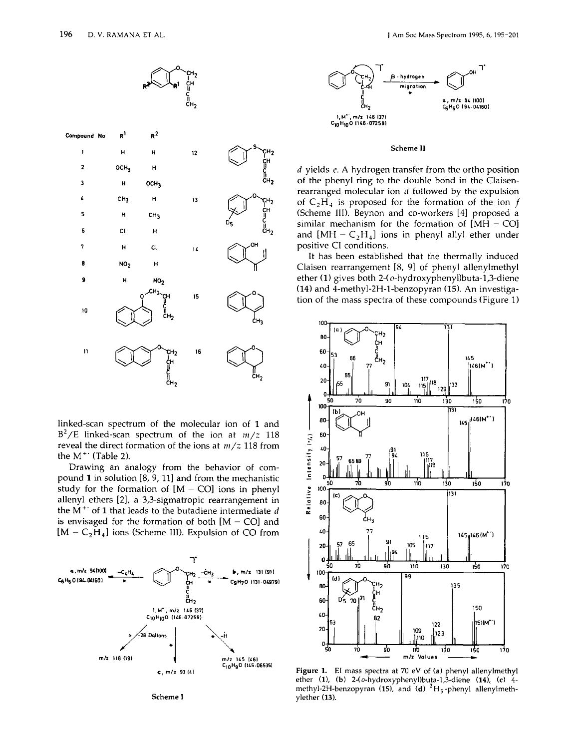

linked-scan spectrum of the molecular ion of 1 and  $B^2/E$  linked-scan spectrum of the ion at  $m/z$  118 reveal the direct formation of the ions at  $m/z$  118 from the  $M^+$  (Table 2).

Drawing an analogy from the behavior of compound 1 in solution [8, 9, 11] and from the mechanistic study for the formation of  $[M - CO]$  ions in phenyl allenyl ethers [2], a 3,3-sigmatropic rearrangement in the  $M^+$  of 1 that leads to the butadiene intermediate  $d$ is envisaged for the formation of both  $[M - CO]$  and  $[M - C<sub>2</sub>H<sub>4</sub>]$  ions (Scheme III). Expulsion of CO from



Scheme I



#### Scheme II

 $d$  yields  $e$ . A hydrogen transfer from the ortho position of the phenyl ring to the double bond in the Claisenrearranged molecular ion  $d$  followed by the expulsion of  $C_2H_4$  is proposed for the formation of the ion f (Scheme III). Beynon and co-workers [4] proposed a similar mechanism for the formation of  $[MH - CO]$ and  $[MH - C_2H_4]$  ions in phenyl allyl ether under positive CI conditions.

It has been established that the thermally induced Claisen rearrangement [8, 9] of phenyl allenylmethyl ether (1) gives both 2-(o-hydroxyphenyl)buta-1,3-diene (14) and 4-methyl-2H-1-benzopyran (15). An investigation of the mass spectra of these compounds (Figure 1)



Figure 1. El mass spectra at 70 eV of (a) phenyl allenylmethyl ether (1), (b) 2-(o-hydroxyphenyl)buta-1,3-diene (14), (c) 4methyl-2H-benzopyran (15), and (d)  ${}^{2}H_{5}$ -phenyl allenylmethylether (13).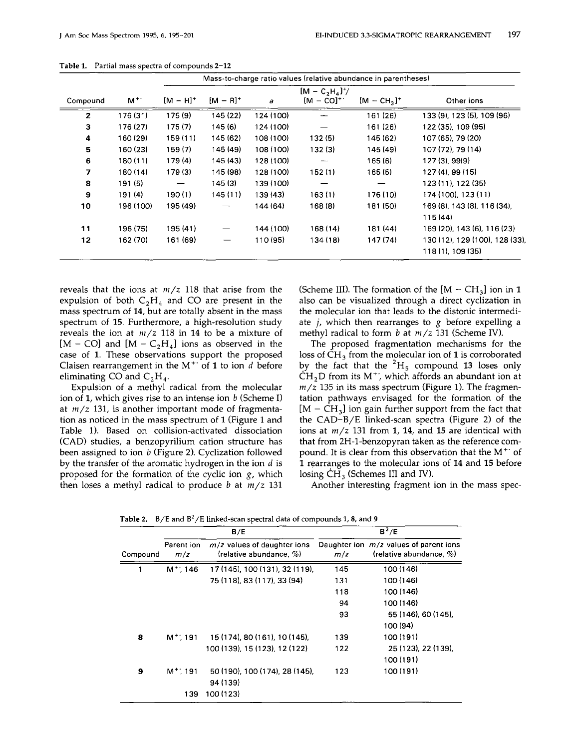|                |           | Mass-to-charge ratio values (relative abundance in parentheses) |               |           |                |                          |                               |  |
|----------------|-----------|-----------------------------------------------------------------|---------------|-----------|----------------|--------------------------|-------------------------------|--|
|                |           | $[M - C_2H_4]^{+}$ /                                            |               |           |                |                          |                               |  |
| Compound       | $M^+$     | $[M - H]^+$                                                     | $[M - R]^{+}$ | a         | $[M - CO]^{+}$ | $[M - CH3]$ <sup>+</sup> | Other ions                    |  |
| $\mathbf{z}$   | 176 (31)  | 175 (9)                                                         | 145 (22)      | 124 (100) |                | 161 (26)                 | 133 (9), 123 (5), 109 (96)    |  |
| 3              | 176 (27)  | 175(7)                                                          | 145 (6)       | 124 (100) |                | 161(26)                  | 122 (35), 109 (95)            |  |
| 4              | 160 (29)  | 159(11)                                                         | 145 (62)      | 108 (100) | 132(5)         | 145 (62)                 | 107 (65), 79 (20)             |  |
| 5              | 160(23)   | 159(7)                                                          | 145 (49)      | 108 (100) | 132(3)         | 145 (49)                 | 107 (72), 79 (14)             |  |
| 6              | 180 (11)  | 179(4)                                                          | 145 (43)      | 128 (100) | ——             | 165(6)                   | 127(3), 99(9)                 |  |
| $\overline{7}$ | 180 (14)  | 179(3)                                                          | 145 (98)      | 128 (100) | 152(1)         | 165(5)                   | 127 (4), 99 (15)              |  |
| 8              | 191(5)    |                                                                 | 145 (3)       | 139 (100) |                |                          | 123 (11), 122 (35)            |  |
| 9              | 191(4)    | 190(1)                                                          | 145 (11)      | 139 (43)  | 163(1)         | 176 (10)                 | 174 (100), 123 (11)           |  |
| 10             | 196 (100) | 195 (49)                                                        |               | 144 (64)  | 168 (8)        | 181 (50)                 | 169 (8), 143 (8), 116 (34),   |  |
|                |           |                                                                 |               |           |                |                          | 115 (44)                      |  |
| 11             | 196 (75)  | 195 (41)                                                        |               | 144 (100) | 168 (14)       | 181 (44)                 | 169 (20), 143 (6), 116 (23)   |  |
| 12             | 162 (70)  | 161 (69)                                                        |               | 110 (95)  | 134 (18)       | 147 (74)                 | 130 (12), 129 (100), 128 (33) |  |
|                |           |                                                                 |               |           |                |                          | 118 (1), 109 (35)             |  |

Table 1. Partial mass spectra of compounds 2-12

reveals that the ions at  $m/z$  118 that arise from the expulsion of both  $C_2H_4$  and CO are present in the mass spectrum of 14, but are totally absent in the mass spectrum of 15. Furthermore, a high-resolution study reveals the ion at  $m/z$  118 in 14 to be a mixture of [M – CO] and  $[M - C_2H_4]$  ions as observed in the case of 1. These observations support the proposed Claisen rearrangement in the  $M^+$  of 1 to ion d before eliminating CO and  $C_2H_4$ .

Expulsion of a methyl radical from the molecular ion of 1, which gives rise to an intense ion *b* (Scheme I) at <sup>m</sup>*r*<sup>z</sup> 131, is another important mode of fragmentation as noticed in the mass spectrum of 1 (Figure 1 and Table 1). Based on collision-activated dissociation (CAD) studies, a benzopyrilium cation structure has been assigned to ion *b* (Figure 2). Cyclization followed by the transfer of the aromatic hydrogen in the ion  $d$  is proposed for the formation of the cyclic ion  $g$ , which then loses a methyl radical to produce *b* at  $m/z$  131

(Scheme III). The formation of the  $[M - CH_3]$  ion in 1 also can be visualized through a direct cyclization in the molecular ion that leads to the distonic intermediate *i,* which then rearranges to *g* before expelling a methyl radical to form *b* at  $m/z$  131 (Scheme IV).

The proposed fragmentation mechanisms for the loss of  $CH<sub>3</sub>$  from the molecular ion of 1 is corroborated by the fact that the  ${}^{2}H_5$  compound 13 loses only  $CH<sub>2</sub>$ D from its M<sup>+</sup>', which affords an abundant ion at  $m/z$  135 in its mass spectrum (Figure 1). The fragmentation pathways envisaged for the formation of the  $[M - CH<sub>3</sub>]$  ion gain further support from the fact that the CAD-B/E linked-scan spectra (Figure 2) of the ions at  $m/z$  131 from 1, 14, and 15 are identical with that from 2H-l-benzopyran taken as the reference compound. It is clear from this observation that the  $M^+$  of 1 rearranges to the molecular ions of 14 and 15 before losing  $CH_3$  (Schemes III and IV).

Another interesting fragment ion in the mass spec-

| Compound |                   | B/E                                                          | $B^2/E$ |                                                                         |  |
|----------|-------------------|--------------------------------------------------------------|---------|-------------------------------------------------------------------------|--|
|          | Parent ion<br>m/z | $m/z$ values of daughter ions<br>(relative abundance, $\%$ ) | m/z     | Daughter ion $m/z$ values of parent ions<br>(relative abundance, $\%$ ) |  |
| 1        | $M^+$ ; 146       | 17 (145), 100 (131), 32 (119),                               | 145     | 100 (146)                                                               |  |
|          |                   | 75 (118), 83 (117), 33 (94)                                  | 131     | 100 (146)                                                               |  |
|          |                   |                                                              | 118     | 100 (146)                                                               |  |
|          |                   |                                                              | 94      | 100 (146)                                                               |  |
|          |                   |                                                              | 93      | 55 (146), 60 (145).                                                     |  |
|          |                   |                                                              |         | 100 (94)                                                                |  |
| 8        | $M^+$ ; 191       | 15 (174), 80 (161), 10 (145),                                | 139     | 100 (191)                                                               |  |
|          |                   | 100 (139), 15 (123), 12 (122)                                | 122     | 25 (123), 22 (139),                                                     |  |
|          |                   |                                                              |         | 100 (191)                                                               |  |
| 9        | $M^+$ : 191       | 50 (190), 100 (174), 28 (145),                               | 123     | 100 (191)                                                               |  |
|          |                   | 94 (139)                                                     |         |                                                                         |  |
|          | 139               | 100 (123)                                                    |         |                                                                         |  |

Table 2. B/F and  $B^2$ /F linked-scan spectral data of compounds 1, 8, and 9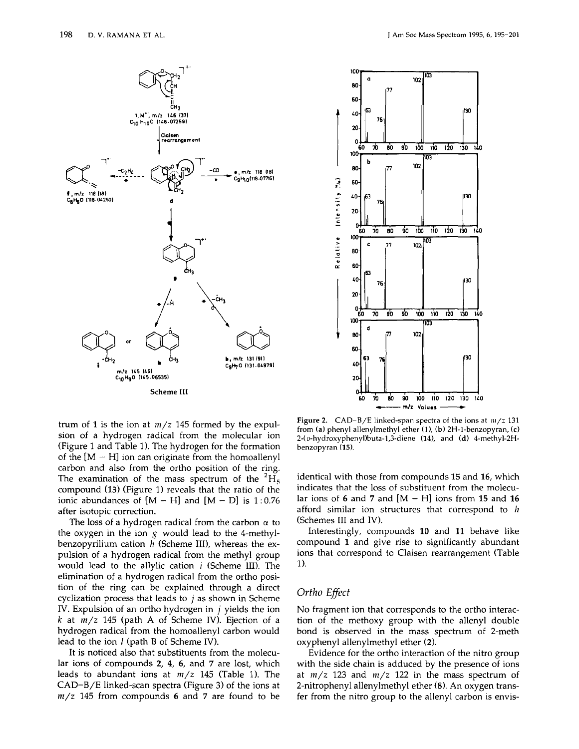



trum of 1 is the ion at  $m/z$  145 formed by the expulsion of a hydrogen radical from the molecular ion (Figure 1 and Table 1). The hydrogen for the formation of the  $[M - H]$  ion can originate from the homoallenyl carbon and also from the ortho position of the ring. The examination of the mass spectrum of the  ${}^{2}H_5$ compound (13) (Figure 1) reveals that the ratio of the ionic abundances of  $[M - H]$  and  $[M - D]$  is 1:0.76 after isotopic correction.

The loss of a hydrogen radical from the carbon  $\alpha$  to the oxygen in the ion  $g$  would lead to the 4-methylbenzopyrilium cation  $h$  (Scheme III), whereas the expulsion of a hydrogen radical from the methyl group would lead to the allylic cation  $i$  (Scheme III). The elimination of a hydrogen radical from the ortho position of the ring can be explained through a direct cyclization process that leads to  $j$  as shown in Scheme IV. Expulsion of an ortho hydrogen in  $j$  yields the ion k at  $m/z$  145 (path A of Scheme IV). Ejection of a hydrogen radical from the homoallenyl carbon would lead to the ion *l* (path B of Scheme IV).

It is noticed also that substituents from the molecular ions of compounds 2, 4, 6, and 7 are lost, which leads to abundant ions at  $m/z$  145 (Table 1). The CAD-B/E linked-scan spectra (Figure 3) of the ions at  $m/z$  145 from compounds 6 and 7 are found to be

Figure 2.  $CAD-B/E$  linked-span spectra of the ions at  $m/z$  131 from (a) phenyl allenylmethyl ether (1), (b) 2H-1-benzopyran, (c) 2-(o-hydroxyphenyl)buta-1,3-diene (14), and (d) 4-methyl-2Hbenzopyran (15).

identical with those from compounds 15 and 16, which indicates that the loss of substituent from the molecular ions of 6 and 7 and  $[M - H]$  ions from 15 and 16 afford similar ion structures that correspond to h (Schemes III and IV).

Interestingly, compounds 10 and 11 behave like compound 1 and give rise to significantly abundant ions that correspond to Claisen rearrangement (Table 1).

#### Ortho Effect

No fragment ion that corresponds to the ortho interaction of the methoxy group with the allenyl double bond is observed in the mass spectrum of 2-meth oxyphenyl allenylmethyl ether (2).

Evidence for the ortho interaction of the nitro group with the side chain is adduced by the presence of ions at  $m/z$  123 and  $m/z$  122 in the mass spectrum of 2-nitrophenyl allenylmethyl ether (8). An oxygen transfer from the nitro group to the allenyl carbon is envis-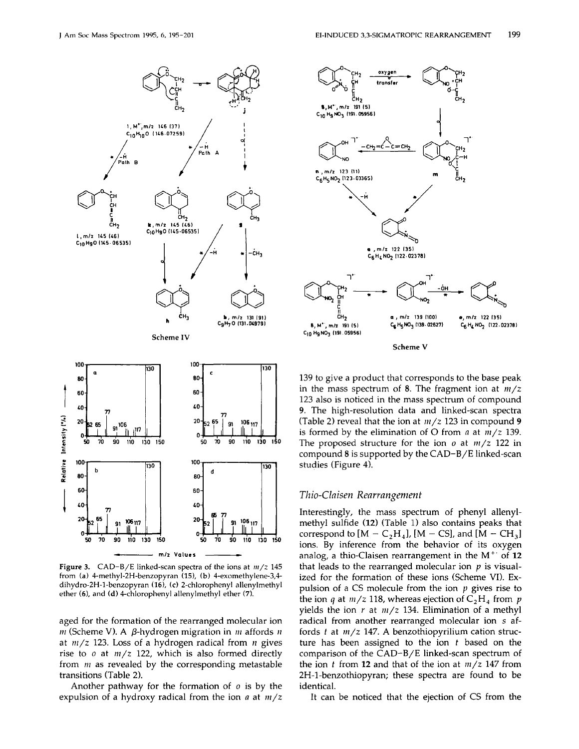

Figure 3.  $CAD-B/E$  linked-scan spectra of the ions at  $m/z$  145 from (a) 4-methyl-2H-benzopyran (15), (b) 4-exomethylene-3,4dihydro-2H-1-benzopyran (16), (c) 2-chlorophenyl allenylmethyl ether (6), and (d) 4-chlorophenyl allenylmethyl ether (7).

aged for the formation of the rearranged molecular ion *m* (Scheme V). A  $\beta$ -hydrogen migration in *m* affords *n* at  $m/z$  123. Loss of a hydrogen radical from *n* gives rise to  $o$  at  $m/z$  122, which is also formed directly from  $m$  as revealed by the corresponding metastable transitions (Table 2).

Another pathway for the formation of  $\sigma$  is by the expulsion of a hydroxy radical from the ion  $a$  at  $m/z$ 



139 to give a product that corresponds to the base peak in the mass spectrum of 8. The fragment ion at  $m/z$ 123 also is noticed in the mass spectrum of compound 9. The high-resolution data and linked-scan spectra (Table 2) reveal that the ion at  $m/z$  123 in compound 9 is formed by the elimination of O from  $a$  at  $m/z$  139. The proposed structure for the ion  $\sigma$  at  $m/z$  122 in compound 8 is supported by the  $CAD-B/E$  linked-scan studies (Figure 4).

#### Thio-Claisen Rearrangement

Interestingly, the mass spectrum of phenyl allenylmethyl sulfide (12) (Table 1) also contains peaks that correspond to  $[M - C<sub>2</sub>H<sub>4</sub>]$ ,  $[M - CS]$ , and  $[M - CH<sub>3</sub>]$ ions. By inference from the behavior of its oxygen analog, a thio-Claisen rearrangement in the  $M^{+}$  of 12 that leads to the rearranged molecular ion  $p$  is visualized for the formation of these ions (Scheme VI). Expulsion of a CS molecule from the ion  $p$  gives rise to the ion q at  $m/z$  118, whereas ejection of  $C_2H_4$  from p yields the ion  $r$  at  $m/z$  134. Elimination of a methyl radical from another rearranged molecular ion s affords  $t$  at  $m/z$  147. A benzothiopyrilium cation structure has been assigned to the ion  $t$  based on the comparison of the CAD-B/E linked-scan spectrum of the ion t from 12 and that of the ion at  $m/z$  147 from 2H-1-benzothiopyran; these spectra are found to be identical.

It can be noticed that the ejection of CS from the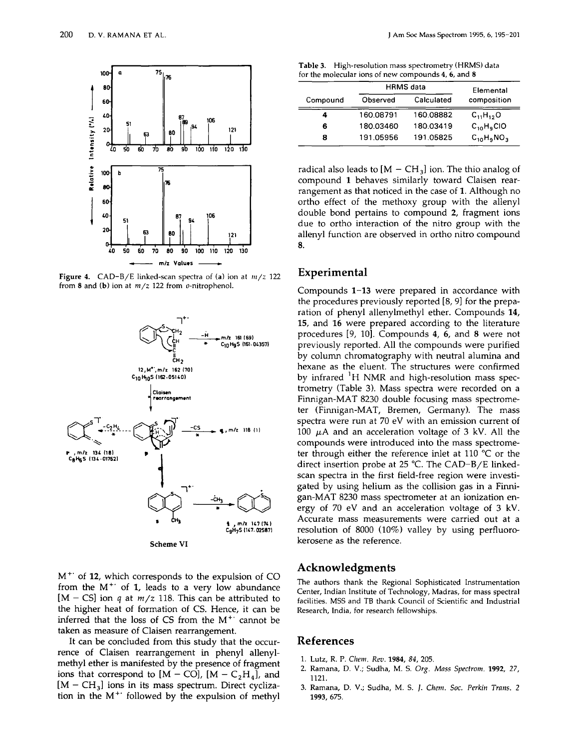

Figure 4. CAD-B/E linked-scan spectra of (a) ion at  $m/z$  122 from 8 and (b) ion at  $m/z$  122 from  $o$ -nitrophenol.



 $M^+$  of 12, which corresponds to the expulsion of CO from the M+' of 1, leads to a *very* low abundance  $[M - CS]$  ion *q* at *m/z* 118. This can be attributed to the higher heat of formation of CS. Hence, it can be inferred that the loss of CS from the  $M^+$  cannot be taken as measure of Claisen rearrangement.

It can be concluded from this study that the occurrence of Claisen rearrangement in phenyl allenylmethyl ether is manifested by the presence of fragment ions that correspond to  $[M - CO]$ ,  $[M - C<sub>2</sub>H<sub>4</sub>]$ , and  $[M - CH<sub>3</sub>]$  ions in its mass spectrum. Direct cyclization in the  $M^+$  followed by the expulsion of methyl

| Table 3. High-resolution mass spectrometry (HRMS) data |
|--------------------------------------------------------|
| for the molecular ions of new compounds 4, 6, and 8    |

|          | <b>HRMS</b> data | Elemental  |                 |
|----------|------------------|------------|-----------------|
| Compound | Observed         | Calculated | composition     |
| 4        | 160.08791        | 160.08882  | $C_{11}H_{12}O$ |
| 6        | 180.03460        | 180.03419  | $C_{10}H_9$ CIO |
| 8        | 191.05956        | 191.05825  | $C_{10}H_9NO_3$ |

radical also leads to  $[M - CH_3]$  ion. The thio analog of compound 1 behaves similarly toward Claisen rearrangement as that noticed in the case of 1. Although no ortho effect of the methoxy group with the allenyl double bond pertains to compound 2, fragment ions due to ortho interaction of the nitro group with the allenyl function are observed in ortho nitro compound 8.

#### **Experimental**

Compounds 1-13 were prepared in accordance with the procedures previously reported [8, 9] for the preparation of phenyl allenylmethyl ether. Compounds 14, 15, and 16 were prepared according to the literature procedures [9, 10]. Compounds 4, 6, and 8 were not previously reported. All the compounds were purified by column chromatography with neutral alumina and hexane as the eluent. The structures were confirmed by infrared <sup>1</sup>H NMR and high-resolution mass spectrometry (Table 3). Mass spectra were recorded on a Finnigan-MAT 8230 double focusing mass spectrometer (Finnigan-MAT, Bremen, Germany). The mass spectra were run at 70 eY with an emission current of 100  $\mu$ A and an acceleration voltage of 3 kV. All the compounds were introduced into the mass spectrometer through either the reference inlet at 110°C or the direct insertion probe at 25  $^{\circ}$ C. The CAD-B/E linkedscan spectra in the first field-free region were investigated by using helium as the collision gas in a Finnigan-MAT 8230 mass spectrometer at an ionization energy of 70 eY and an acceleration voltage of 3 kY. Accurate mass measurements were carried out at a resolution of 8000 (10%) *valley* by using perfluorokerosene as the reference.

#### **Acknowledgments**

The authors thank the Regional Sophisticated Instrumentation Center, Indian Institute of Technology, Madras, for mass spectral facilities. MSS and TB thank Council of Scientific and Industrial Research, India, for research fellowships.

#### **References**

- 1. Lutz, R. P. *Chenz. Rev.* 1984, 84, 205.
- 2. Ramana, D. V.; Sudha, M. S. *Org. Mass Specirom,* 1992, 27, 1121.
- 3. Ramana, D. V.; Sudha, M. S. J. *Chem. Soc. Perkin Trans. 2* 1993,675.